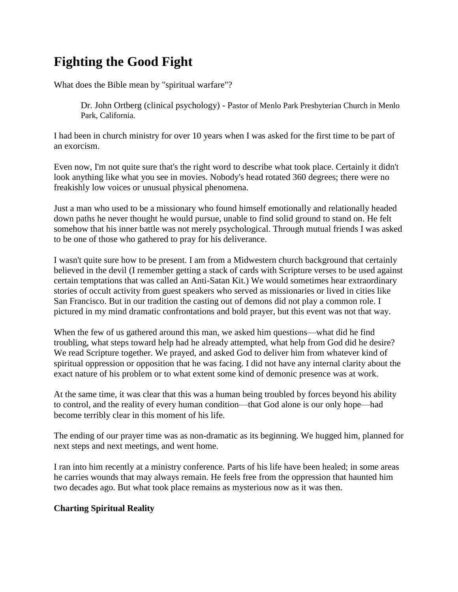# **Fighting the Good Fight**

What does the Bible mean by "spiritual warfare"?

Dr. John Ortberg (clinical psychology) - Pastor of [Menlo Park Presbyterian Church](http://www.mppc.org/) in Menlo Park, California.

I had been in church ministry for over 10 years when I was asked for the first time to be part of an exorcism.

Even now, I'm not quite sure that's the right word to describe what took place. Certainly it didn't look anything like what you see in movies. Nobody's head rotated 360 degrees; there were no freakishly low voices or unusual physical phenomena.

Just a man who used to be a missionary who found himself emotionally and relationally headed down paths he never thought he would pursue, unable to find solid ground to stand on. He felt somehow that his inner battle was not merely psychological. Through mutual friends I was asked to be one of those who gathered to pray for his deliverance.

I wasn't quite sure how to be present. I am from a Midwestern church background that certainly believed in the devil (I remember getting a stack of cards with Scripture verses to be used against certain temptations that was called an Anti-Satan Kit.) We would sometimes hear extraordinary stories of occult activity from guest speakers who served as missionaries or lived in cities like San Francisco. But in our tradition the casting out of demons did not play a common role. I pictured in my mind dramatic confrontations and bold prayer, but this event was not that way.

When the few of us gathered around this man, we asked him questions—what did he find troubling, what steps toward help had he already attempted, what help from God did he desire? We read Scripture together. We prayed, and asked God to deliver him from whatever kind of spiritual oppression or opposition that he was facing. I did not have any internal clarity about the exact nature of his problem or to what extent some kind of demonic presence was at work.

At the same time, it was clear that this was a human being troubled by forces beyond his ability to control, and the reality of every human condition—that God alone is our only hope—had become terribly clear in this moment of his life.

The ending of our prayer time was as non-dramatic as its beginning. We hugged him, planned for next steps and next meetings, and went home.

I ran into him recently at a ministry conference. Parts of his life have been healed; in some areas he carries wounds that may always remain. He feels free from the oppression that haunted him two decades ago. But what took place remains as mysterious now as it was then.

## **Charting Spiritual Reality**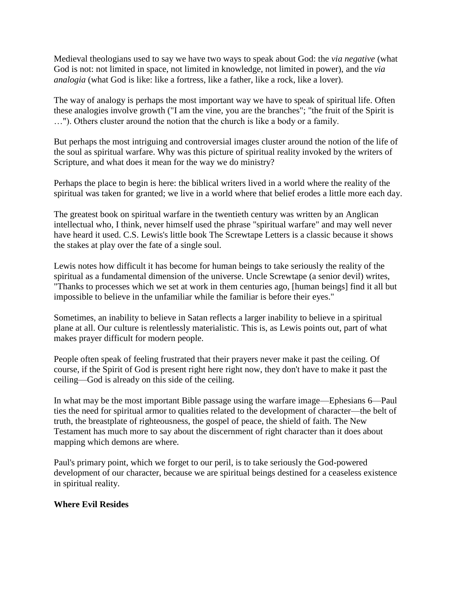Medieval theologians used to say we have two ways to speak about God: the *via negative* (what God is not: not limited in space, not limited in knowledge, not limited in power), and the *via analogia* (what God is like: like a fortress, like a father, like a rock, like a lover).

The way of analogy is perhaps the most important way we have to speak of spiritual life. Often these analogies involve growth ("I am the vine, you are the branches"; "the fruit of the Spirit is …"). Others cluster around the notion that the church is like a body or a family.

But perhaps the most intriguing and controversial images cluster around the notion of the life of the soul as spiritual warfare. Why was this picture of spiritual reality invoked by the writers of Scripture, and what does it mean for the way we do ministry?

Perhaps the place to begin is here: the biblical writers lived in a world where the reality of the spiritual was taken for granted; we live in a world where that belief erodes a little more each day.

The greatest book on spiritual warfare in the twentieth century was written by an Anglican intellectual who, I think, never himself used the phrase "spiritual warfare" and may well never have heard it used. C.S. Lewis's little book The Screwtape Letters is a classic because it shows the stakes at play over the fate of a single soul.

Lewis notes how difficult it has become for human beings to take seriously the reality of the spiritual as a fundamental dimension of the universe. Uncle Screwtape (a senior devil) writes, "Thanks to processes which we set at work in them centuries ago, [human beings] find it all but impossible to believe in the unfamiliar while the familiar is before their eyes."

Sometimes, an inability to believe in Satan reflects a larger inability to believe in a spiritual plane at all. Our culture is relentlessly materialistic. This is, as Lewis points out, part of what makes prayer difficult for modern people.

People often speak of feeling frustrated that their prayers never make it past the ceiling. Of course, if the Spirit of God is present right here right now, they don't have to make it past the ceiling—God is already on this side of the ceiling.

In what may be the most important Bible passage using the warfare image—Ephesians 6—Paul ties the need for spiritual armor to qualities related to the development of character—the belt of truth, the breastplate of righteousness, the gospel of peace, the shield of faith. The New Testament has much more to say about the discernment of right character than it does about mapping which demons are where.

Paul's primary point, which we forget to our peril, is to take seriously the God-powered development of our character, because we are spiritual beings destined for a ceaseless existence in spiritual reality.

## **Where Evil Resides**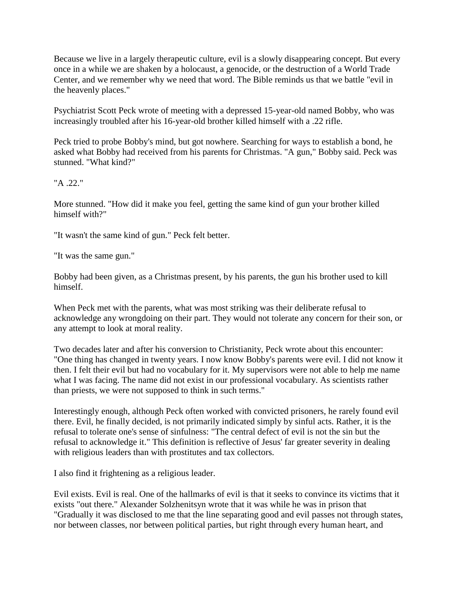Because we live in a largely therapeutic culture, evil is a slowly disappearing concept. But every once in a while we are shaken by a holocaust, a genocide, or the destruction of a World Trade Center, and we remember why we need that word. The Bible reminds us that we battle "evil in the heavenly places."

Psychiatrist Scott Peck wrote of meeting with a depressed 15-year-old named Bobby, who was increasingly troubled after his 16-year-old brother killed himself with a .22 rifle.

Peck tried to probe Bobby's mind, but got nowhere. Searching for ways to establish a bond, he asked what Bobby had received from his parents for Christmas. "A gun," Bobby said. Peck was stunned. "What kind?"

"A .22."

More stunned. "How did it make you feel, getting the same kind of gun your brother killed himself with?"

"It wasn't the same kind of gun." Peck felt better.

"It was the same gun."

Bobby had been given, as a Christmas present, by his parents, the gun his brother used to kill himself.

When Peck met with the parents, what was most striking was their deliberate refusal to acknowledge any wrongdoing on their part. They would not tolerate any concern for their son, or any attempt to look at moral reality.

Two decades later and after his conversion to Christianity, Peck wrote about this encounter: "One thing has changed in twenty years. I now know Bobby's parents were evil. I did not know it then. I felt their evil but had no vocabulary for it. My supervisors were not able to help me name what I was facing. The name did not exist in our professional vocabulary. As scientists rather than priests, we were not supposed to think in such terms."

Interestingly enough, although Peck often worked with convicted prisoners, he rarely found evil there. Evil, he finally decided, is not primarily indicated simply by sinful acts. Rather, it is the refusal to tolerate one's sense of sinfulness: "The central defect of evil is not the sin but the refusal to acknowledge it." This definition is reflective of Jesus' far greater severity in dealing with religious leaders than with prostitutes and tax collectors.

I also find it frightening as a religious leader.

Evil exists. Evil is real. One of the hallmarks of evil is that it seeks to convince its victims that it exists "out there." Alexander Solzhenitsyn wrote that it was while he was in prison that "Gradually it was disclosed to me that the line separating good and evil passes not through states, nor between classes, nor between political parties, but right through every human heart, and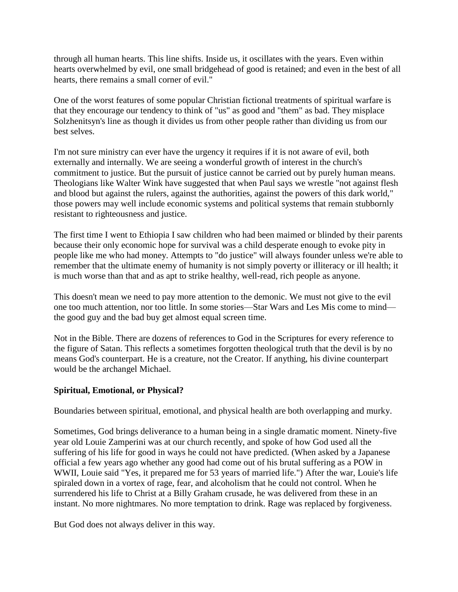through all human hearts. This line shifts. Inside us, it oscillates with the years. Even within hearts overwhelmed by evil, one small bridgehead of good is retained; and even in the best of all hearts, there remains a small corner of evil."

One of the worst features of some popular Christian fictional treatments of spiritual warfare is that they encourage our tendency to think of "us" as good and "them" as bad. They misplace Solzhenitsyn's line as though it divides us from other people rather than dividing us from our best selves.

I'm not sure ministry can ever have the urgency it requires if it is not aware of evil, both externally and internally. We are seeing a wonderful growth of interest in the church's commitment to justice. But the pursuit of justice cannot be carried out by purely human means. Theologians like Walter Wink have suggested that when Paul says we wrestle "not against flesh and blood but against the rulers, against the authorities, against the powers of this dark world," those powers may well include economic systems and political systems that remain stubbornly resistant to righteousness and justice.

The first time I went to Ethiopia I saw children who had been maimed or blinded by their parents because their only economic hope for survival was a child desperate enough to evoke pity in people like me who had money. Attempts to "do justice" will always founder unless we're able to remember that the ultimate enemy of humanity is not simply poverty or illiteracy or ill health; it is much worse than that and as apt to strike healthy, well-read, rich people as anyone.

This doesn't mean we need to pay more attention to the demonic. We must not give to the evil one too much attention, nor too little. In some stories—Star Wars and Les Mis come to mind the good guy and the bad buy get almost equal screen time.

Not in the Bible. There are dozens of references to God in the Scriptures for every reference to the figure of Satan. This reflects a sometimes forgotten theological truth that the devil is by no means God's counterpart. He is a creature, not the Creator. If anything, his divine counterpart would be the archangel Michael.

## **Spiritual, Emotional, or Physical?**

Boundaries between spiritual, emotional, and physical health are both overlapping and murky.

Sometimes, God brings deliverance to a human being in a single dramatic moment. Ninety-five year old Louie Zamperini was at our church recently, and spoke of how God used all the suffering of his life for good in ways he could not have predicted. (When asked by a Japanese official a few years ago whether any good had come out of his brutal suffering as a POW in WWII, Louie said "Yes, it prepared me for 53 years of married life.") After the war, Louie's life spiraled down in a vortex of rage, fear, and alcoholism that he could not control. When he surrendered his life to Christ at a Billy Graham crusade, he was delivered from these in an instant. No more nightmares. No more temptation to drink. Rage was replaced by forgiveness.

But God does not always deliver in this way.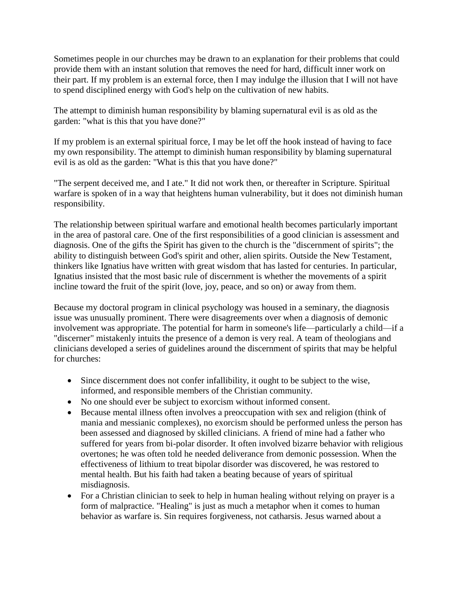Sometimes people in our churches may be drawn to an explanation for their problems that could provide them with an instant solution that removes the need for hard, difficult inner work on their part. If my problem is an external force, then I may indulge the illusion that I will not have to spend disciplined energy with God's help on the cultivation of new habits.

The attempt to diminish human responsibility by blaming supernatural evil is as old as the garden: "what is this that you have done?"

If my problem is an external spiritual force, I may be let off the hook instead of having to face my own responsibility. The attempt to diminish human responsibility by blaming supernatural evil is as old as the garden: "What is this that you have done?"

"The serpent deceived me, and I ate." It did not work then, or thereafter in Scripture. Spiritual warfare is spoken of in a way that heightens human vulnerability, but it does not diminish human responsibility.

The relationship between spiritual warfare and emotional health becomes particularly important in the area of pastoral care. One of the first responsibilities of a good clinician is assessment and diagnosis. One of the gifts the Spirit has given to the church is the "discernment of spirits"; the ability to distinguish between God's spirit and other, alien spirits. Outside the New Testament, thinkers like Ignatius have written with great wisdom that has lasted for centuries. In particular, Ignatius insisted that the most basic rule of discernment is whether the movements of a spirit incline toward the fruit of the spirit (love, joy, peace, and so on) or away from them.

Because my doctoral program in clinical psychology was housed in a seminary, the diagnosis issue was unusually prominent. There were disagreements over when a diagnosis of demonic involvement was appropriate. The potential for harm in someone's life—particularly a child—if a "discerner" mistakenly intuits the presence of a demon is very real. A team of theologians and clinicians developed a series of guidelines around the discernment of spirits that may be helpful for churches:

- Since discernment does not confer infallibility, it ought to be subject to the wise, informed, and responsible members of the Christian community.
- No one should ever be subject to exorcism without informed consent.
- Because mental illness often involves a preoccupation with sex and religion (think of mania and messianic complexes), no exorcism should be performed unless the person has been assessed and diagnosed by skilled clinicians. A friend of mine had a father who suffered for years from bi-polar disorder. It often involved bizarre behavior with religious overtones; he was often told he needed deliverance from demonic possession. When the effectiveness of lithium to treat bipolar disorder was discovered, he was restored to mental health. But his faith had taken a beating because of years of spiritual misdiagnosis.
- For a Christian clinician to seek to help in human healing without relying on prayer is a form of malpractice. "Healing" is just as much a metaphor when it comes to human behavior as warfare is. Sin requires forgiveness, not catharsis. Jesus warned about a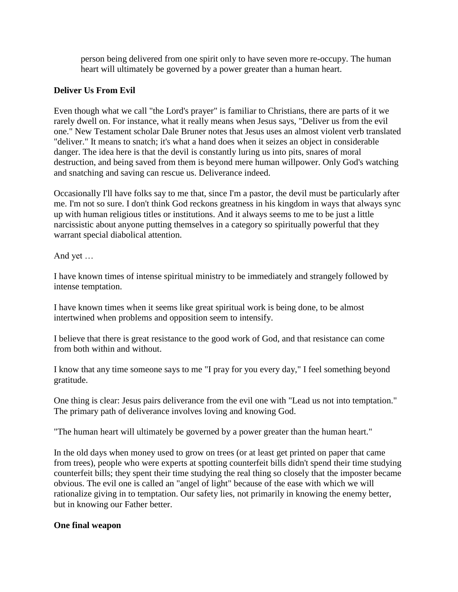person being delivered from one spirit only to have seven more re-occupy. The human heart will ultimately be governed by a power greater than a human heart.

#### **Deliver Us From Evil**

Even though what we call "the Lord's prayer" is familiar to Christians, there are parts of it we rarely dwell on. For instance, what it really means when Jesus says, "Deliver us from the evil one." New Testament scholar Dale Bruner notes that Jesus uses an almost violent verb translated "deliver." It means to snatch; it's what a hand does when it seizes an object in considerable danger. The idea here is that the devil is constantly luring us into pits, snares of moral destruction, and being saved from them is beyond mere human willpower. Only God's watching and snatching and saving can rescue us. Deliverance indeed.

Occasionally I'll have folks say to me that, since I'm a pastor, the devil must be particularly after me. I'm not so sure. I don't think God reckons greatness in his kingdom in ways that always sync up with human religious titles or institutions. And it always seems to me to be just a little narcissistic about anyone putting themselves in a category so spiritually powerful that they warrant special diabolical attention.

And yet …

I have known times of intense spiritual ministry to be immediately and strangely followed by intense temptation.

I have known times when it seems like great spiritual work is being done, to be almost intertwined when problems and opposition seem to intensify.

I believe that there is great resistance to the good work of God, and that resistance can come from both within and without.

I know that any time someone says to me "I pray for you every day," I feel something beyond gratitude.

One thing is clear: Jesus pairs deliverance from the evil one with "Lead us not into temptation." The primary path of deliverance involves loving and knowing God.

"The human heart will ultimately be governed by a power greater than the human heart."

In the old days when money used to grow on trees (or at least get printed on paper that came from trees), people who were experts at spotting counterfeit bills didn't spend their time studying counterfeit bills; they spent their time studying the real thing so closely that the imposter became obvious. The evil one is called an "angel of light" because of the ease with which we will rationalize giving in to temptation. Our safety lies, not primarily in knowing the enemy better, but in knowing our Father better.

#### **One final weapon**